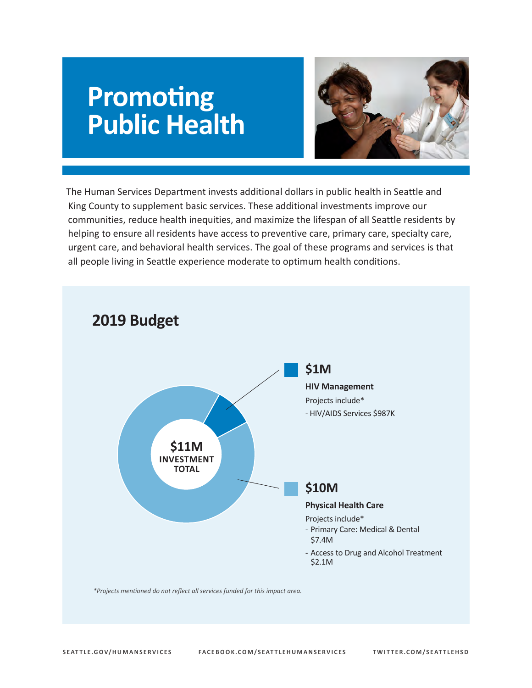# **Promoting Public Health**



 communities, reduce health inequities, and maximize the lifespan of all Seattle residents by The Human Services Department invests additional dollars in public health in Seattle and King County to supplement basic services. These additional investments improve our helping to ensure all residents have access to preventive care, primary care, specialty care, urgent care, and behavioral health services. The goal of these programs and services is that all people living in Seattle experience moderate to optimum health conditions.